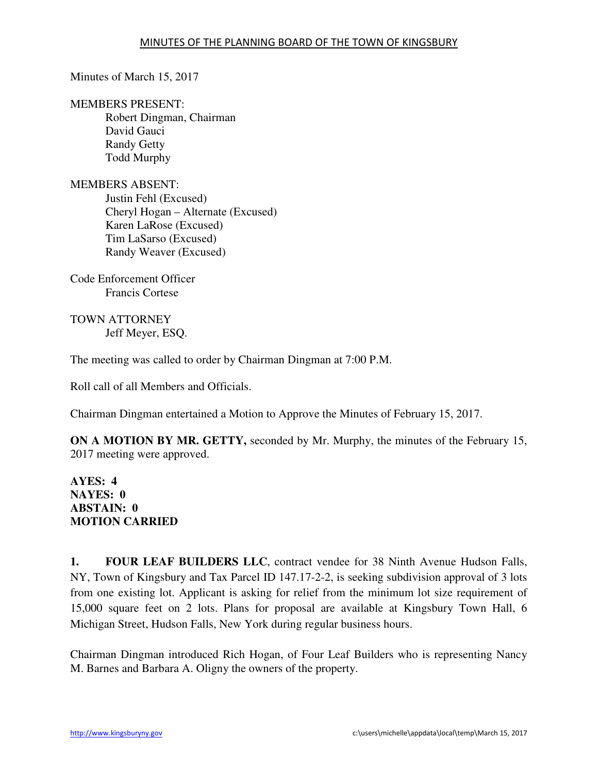## Minutes of March 15, 2017

## MEMBERS PRESENT:

Robert Dingman, Chairman David Gauci Randy Getty Todd Murphy

MEMBERS ABSENT: Justin Fehl (Excused) Cheryl Hogan – Alternate (Excused) Karen LaRose (Excused) Tim LaSarso (Excused) Randy Weaver (Excused)

Code Enforcement Officer Francis Cortese

TOWN ATTORNEY Jeff Meyer, ESQ.

The meeting was called to order by Chairman Dingman at 7:00 P.M.

Roll call of all Members and Officials.

Chairman Dingman entertained a Motion to Approve the Minutes of February 15, 2017.

**ON A MOTION BY MR. GETTY,** seconded by Mr. Murphy, the minutes of the February 15, 2017 meeting were approved.

**AYES: 4 NAYES: 0 ABSTAIN: 0 MOTION CARRIED** 

**1. FOUR LEAF BUILDERS LLC**, contract vendee for 38 Ninth Avenue Hudson Falls, NY, Town of Kingsbury and Tax Parcel ID 147.17-2-2, is seeking subdivision approval of 3 lots from one existing lot. Applicant is asking for relief from the minimum lot size requirement of 15,000 square feet on 2 lots. Plans for proposal are available at Kingsbury Town Hall, 6 Michigan Street, Hudson Falls, New York during regular business hours.

Chairman Dingman introduced Rich Hogan, of Four Leaf Builders who is representing Nancy M. Barnes and Barbara A. Oligny the owners of the property.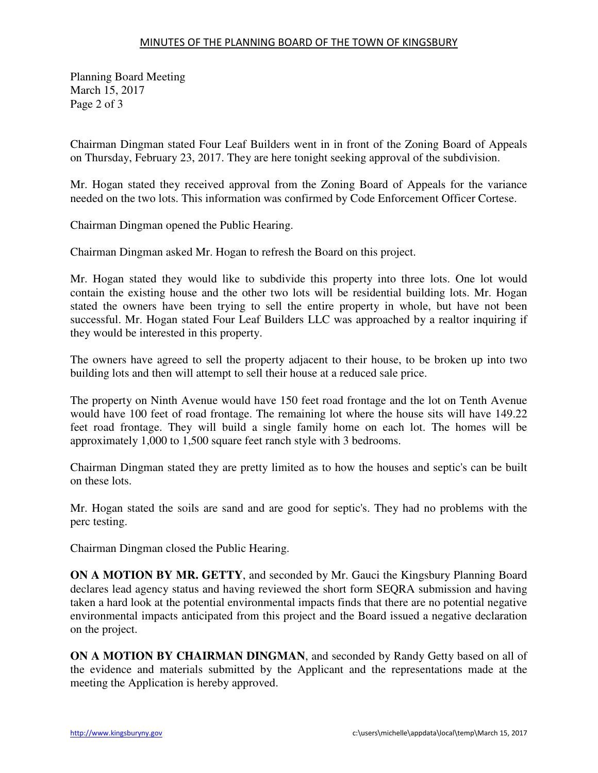## MINUTES OF THE PLANNING BOARD OF THE TOWN OF KINGSBURY

Planning Board Meeting March 15, 2017 Page 2 of 3

Chairman Dingman stated Four Leaf Builders went in in front of the Zoning Board of Appeals on Thursday, February 23, 2017. They are here tonight seeking approval of the subdivision.

Mr. Hogan stated they received approval from the Zoning Board of Appeals for the variance needed on the two lots. This information was confirmed by Code Enforcement Officer Cortese.

Chairman Dingman opened the Public Hearing.

Chairman Dingman asked Mr. Hogan to refresh the Board on this project.

Mr. Hogan stated they would like to subdivide this property into three lots. One lot would contain the existing house and the other two lots will be residential building lots. Mr. Hogan stated the owners have been trying to sell the entire property in whole, but have not been successful. Mr. Hogan stated Four Leaf Builders LLC was approached by a realtor inquiring if they would be interested in this property.

The owners have agreed to sell the property adjacent to their house, to be broken up into two building lots and then will attempt to sell their house at a reduced sale price.

The property on Ninth Avenue would have 150 feet road frontage and the lot on Tenth Avenue would have 100 feet of road frontage. The remaining lot where the house sits will have 149.22 feet road frontage. They will build a single family home on each lot. The homes will be approximately 1,000 to 1,500 square feet ranch style with 3 bedrooms.

Chairman Dingman stated they are pretty limited as to how the houses and septic's can be built on these lots.

Mr. Hogan stated the soils are sand and are good for septic's. They had no problems with the perc testing.

Chairman Dingman closed the Public Hearing.

**ON A MOTION BY MR. GETTY**, and seconded by Mr. Gauci the Kingsbury Planning Board declares lead agency status and having reviewed the short form SEQRA submission and having taken a hard look at the potential environmental impacts finds that there are no potential negative environmental impacts anticipated from this project and the Board issued a negative declaration on the project.

**ON A MOTION BY CHAIRMAN DINGMAN**, and seconded by Randy Getty based on all of the evidence and materials submitted by the Applicant and the representations made at the meeting the Application is hereby approved.